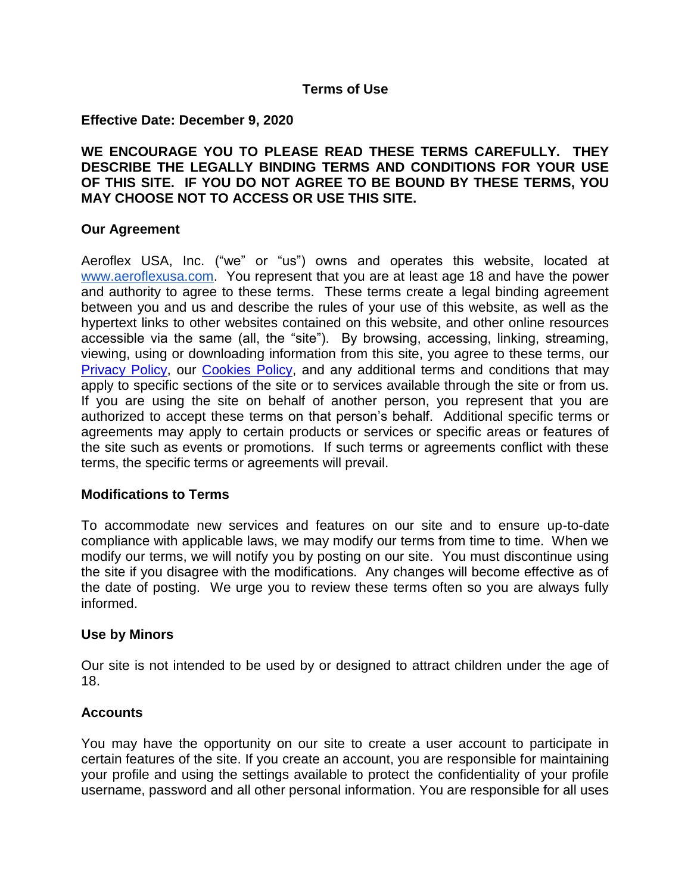#### **Terms of Use**

#### **Effective Date: December 9, 2020**

**WE ENCOURAGE YOU TO PLEASE READ THESE TERMS CAREFULLY. THEY DESCRIBE THE LEGALLY BINDING TERMS AND CONDITIONS FOR YOUR USE OF THIS SITE. IF YOU DO NOT AGREE TO BE BOUND BY THESE TERMS, YOU MAY CHOOSE NOT TO ACCESS OR USE THIS SITE.**

#### **Our Agreement**

Aeroflex USA, Inc. ("we" or "us") owns and operates this website, located at [www.aeroflexusa.com.](http://www.aeroflexusa.com/) You represent that you are at least age 18 and have the power and authority to agree to these terms. These terms create a legal binding agreement between you and us and describe the rules of your use of this website, as well as the hypertext links to other websites contained on this website, and other online resources accessible via the same (all, the "site"). By browsing, accessing, linking, streaming, viewing, using or downloading information from this site, you agree to these terms, our [Privacy Policy,](https://www.aeroflexusa.com/wp-content/uploads/2020/12/Aeroflex_Privacy_Policy_120920.pdf) our [Cookies Policy,](https://www.aeroflexusa.com/wp-content/uploads/2020/12/Aeroflex_Cookies_Policy_120920.pdf) and any additional terms and conditions that may apply to specific sections of the site or to services available through the site or from us. If you are using the site on behalf of another person, you represent that you are authorized to accept these terms on that person's behalf. Additional specific terms or agreements may apply to certain products or services or specific areas or features of the site such as events or promotions. If such terms or agreements conflict with these terms, the specific terms or agreements will prevail.

#### **Modifications to Terms**

To accommodate new services and features on our site and to ensure up-to-date compliance with applicable laws, we may modify our terms from time to time. When we modify our terms, we will notify you by posting on our site. You must discontinue using the site if you disagree with the modifications. Any changes will become effective as of the date of posting. We urge you to review these terms often so you are always fully informed.

#### **Use by Minors**

Our site is not intended to be used by or designed to attract children under the age of 18.

#### **Accounts**

You may have the opportunity on our site to create a user account to participate in certain features of the site. If you create an account, you are responsible for maintaining your profile and using the settings available to protect the confidentiality of your profile username, password and all other personal information. You are responsible for all uses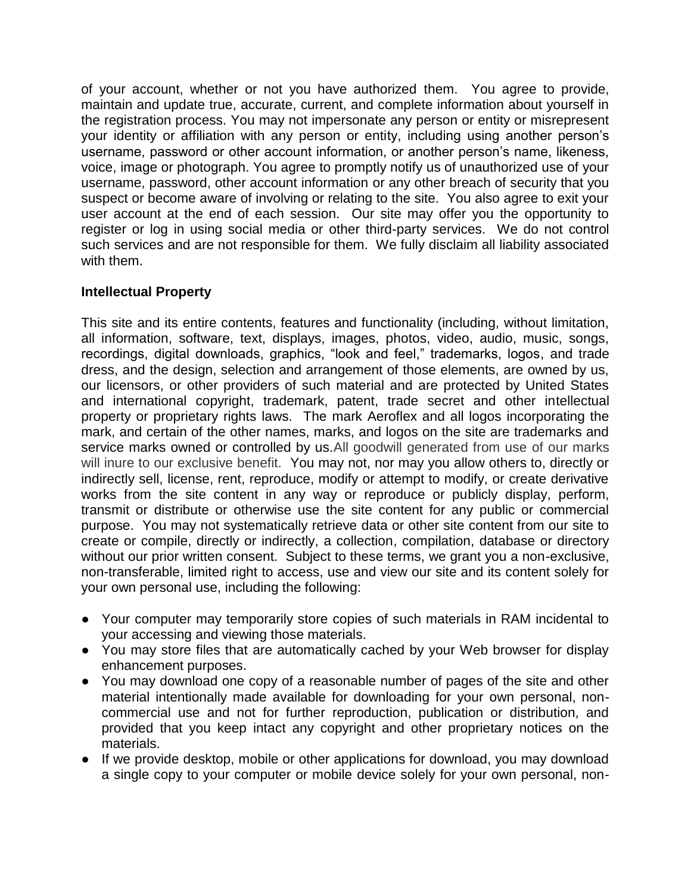of your account, whether or not you have authorized them. You agree to provide, maintain and update true, accurate, current, and complete information about yourself in the registration process. You may not impersonate any person or entity or misrepresent your identity or affiliation with any person or entity, including using another person's username, password or other account information, or another person's name, likeness, voice, image or photograph. You agree to promptly notify us of unauthorized use of your username, password, other account information or any other breach of security that you suspect or become aware of involving or relating to the site. You also agree to exit your user account at the end of each session. Our site may offer you the opportunity to register or log in using social media or other third-party services. We do not control such services and are not responsible for them. We fully disclaim all liability associated with them.

# **Intellectual Property**

This site and its entire contents, features and functionality (including, without limitation, all information, software, text, displays, images, photos, video, audio, music, songs, recordings, digital downloads, graphics, "look and feel," trademarks, logos, and trade dress, and the design, selection and arrangement of those elements, are owned by us, our licensors, or other providers of such material and are protected by United States and international copyright, trademark, patent, trade secret and other intellectual property or proprietary rights laws. The mark Aeroflex and all logos incorporating the mark, and certain of the other names, marks, and logos on the site are trademarks and service marks owned or controlled by us.All goodwill generated from use of our marks will inure to our exclusive benefit. You may not, nor may you allow others to, directly or indirectly sell, license, rent, reproduce, modify or attempt to modify, or create derivative works from the site content in any way or reproduce or publicly display, perform, transmit or distribute or otherwise use the site content for any public or commercial purpose. You may not systematically retrieve data or other site content from our site to create or compile, directly or indirectly, a collection, compilation, database or directory without our prior written consent. Subject to these terms, we grant you a non-exclusive, non-transferable, limited right to access, use and view our site and its content solely for your own personal use, including the following:

- Your computer may temporarily store copies of such materials in RAM incidental to your accessing and viewing those materials.
- You may store files that are automatically cached by your Web browser for display enhancement purposes.
- You may download one copy of a reasonable number of pages of the site and other material intentionally made available for downloading for your own personal, noncommercial use and not for further reproduction, publication or distribution, and provided that you keep intact any copyright and other proprietary notices on the materials.
- If we provide desktop, mobile or other applications for download, you may download a single copy to your computer or mobile device solely for your own personal, non-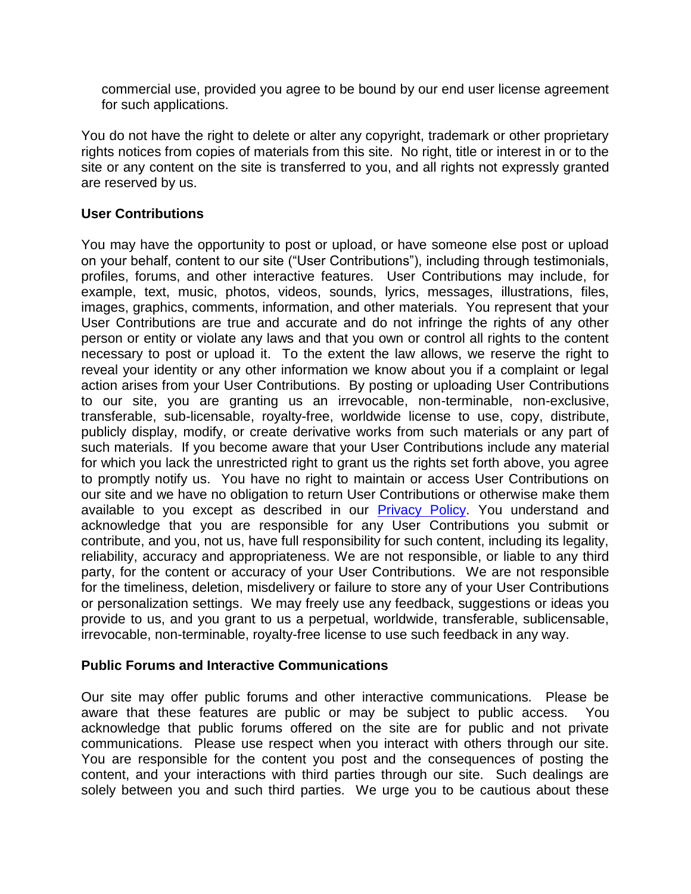commercial use, provided you agree to be bound by our end user license agreement for such applications.

You do not have the right to delete or alter any copyright, trademark or other proprietary rights notices from copies of materials from this site. No right, title or interest in or to the site or any content on the site is transferred to you, and all rights not expressly granted are reserved by us.

## **User Contributions**

You may have the opportunity to post or upload, or have someone else post or upload on your behalf, content to our site ("User Contributions"), including through testimonials, profiles, forums, and other interactive features. User Contributions may include, for example, text, music, photos, videos, sounds, lyrics, messages, illustrations, files, images, graphics, comments, information, and other materials. You represent that your User Contributions are true and accurate and do not infringe the rights of any other person or entity or violate any laws and that you own or control all rights to the content necessary to post or upload it. To the extent the law allows, we reserve the right to reveal your identity or any other information we know about you if a complaint or legal action arises from your User Contributions. By posting or uploading User Contributions to our site, you are granting us an irrevocable, non-terminable, non-exclusive, transferable, sub-licensable, royalty-free, worldwide license to use, copy, distribute, publicly display, modify, or create derivative works from such materials or any part of such materials. If you become aware that your User Contributions include any material for which you lack the unrestricted right to grant us the rights set forth above, you agree to promptly notify us. You have no right to maintain or access User Contributions on our site and we have no obligation to return User Contributions or otherwise make them available to you except as described in our [Privacy Policy.](https://www.aeroflexusa.com/wp-content/uploads/2020/12/Aeroflex_Privacy_Policy_120920.pdf) You understand and acknowledge that you are responsible for any User Contributions you submit or contribute, and you, not us, have full responsibility for such content, including its legality, reliability, accuracy and appropriateness. We are not responsible, or liable to any third party, for the content or accuracy of your User Contributions. We are not responsible for the timeliness, deletion, misdelivery or failure to store any of your User Contributions or personalization settings. We may freely use any feedback, suggestions or ideas you provide to us, and you grant to us a perpetual, worldwide, transferable, sublicensable, irrevocable, non-terminable, royalty-free license to use such feedback in any way.

## **Public Forums and Interactive Communications**

Our site may offer public forums and other interactive communications. Please be aware that these features are public or may be subject to public access. You acknowledge that public forums offered on the site are for public and not private communications. Please use respect when you interact with others through our site. You are responsible for the content you post and the consequences of posting the content, and your interactions with third parties through our site. Such dealings are solely between you and such third parties. We urge you to be cautious about these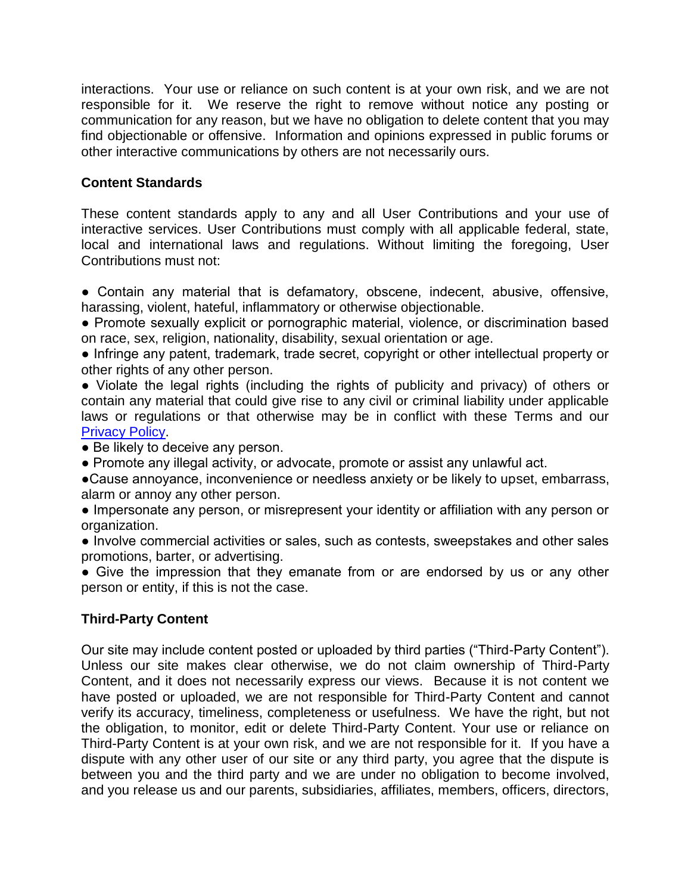interactions. Your use or reliance on such content is at your own risk, and we are not responsible for it. We reserve the right to remove without notice any posting or communication for any reason, but we have no obligation to delete content that you may find objectionable or offensive. Information and opinions expressed in public forums or other interactive communications by others are not necessarily ours.

# **Content Standards**

These content standards apply to any and all User Contributions and your use of interactive services. User Contributions must comply with all applicable federal, state, local and international laws and regulations. Without limiting the foregoing, User Contributions must not:

● Contain any material that is defamatory, obscene, indecent, abusive, offensive, harassing, violent, hateful, inflammatory or otherwise objectionable.

• Promote sexually explicit or pornographic material, violence, or discrimination based on race, sex, religion, nationality, disability, sexual orientation or age.

● Infringe any patent, trademark, trade secret, copyright or other intellectual property or other rights of any other person.

● Violate the legal rights (including the rights of publicity and privacy) of others or contain any material that could give rise to any civil or criminal liability under applicable laws or regulations or that otherwise may be in conflict with these Terms and our [Privacy Policy.](https://www.aeroflexusa.com/wp-content/uploads/2020/12/Aeroflex_Privacy_Policy_120920.pdf)

• Be likely to deceive any person.

● Promote any illegal activity, or advocate, promote or assist any unlawful act.

●Cause annoyance, inconvenience or needless anxiety or be likely to upset, embarrass, alarm or annoy any other person.

● Impersonate any person, or misrepresent your identity or affiliation with any person or organization.

● Involve commercial activities or sales, such as contests, sweepstakes and other sales promotions, barter, or advertising.

• Give the impression that they emanate from or are endorsed by us or any other person or entity, if this is not the case.

# **Third-Party Content**

Our site may include content posted or uploaded by third parties ("Third-Party Content"). Unless our site makes clear otherwise, we do not claim ownership of Third-Party Content, and it does not necessarily express our views. Because it is not content we have posted or uploaded, we are not responsible for Third-Party Content and cannot verify its accuracy, timeliness, completeness or usefulness. We have the right, but not the obligation, to monitor, edit or delete Third-Party Content. Your use or reliance on Third-Party Content is at your own risk, and we are not responsible for it. If you have a dispute with any other user of our site or any third party, you agree that the dispute is between you and the third party and we are under no obligation to become involved, and you release us and our parents, subsidiaries, affiliates, members, officers, directors,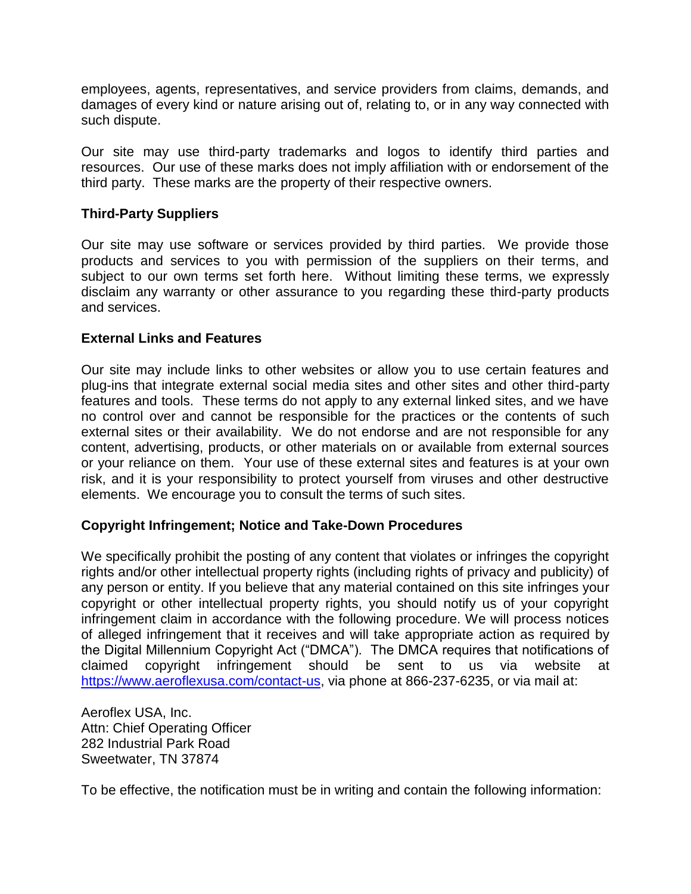employees, agents, representatives, and service providers from claims, demands, and damages of every kind or nature arising out of, relating to, or in any way connected with such dispute.

Our site may use third-party trademarks and logos to identify third parties and resources. Our use of these marks does not imply affiliation with or endorsement of the third party. These marks are the property of their respective owners.

# **Third-Party Suppliers**

Our site may use software or services provided by third parties. We provide those products and services to you with permission of the suppliers on their terms, and subject to our own terms set forth here. Without limiting these terms, we expressly disclaim any warranty or other assurance to you regarding these third-party products and services.

## **External Links and Features**

Our site may include links to other websites or allow you to use certain features and plug-ins that integrate external social media sites and other sites and other third-party features and tools. These terms do not apply to any external linked sites, and we have no control over and cannot be responsible for the practices or the contents of such external sites or their availability. We do not endorse and are not responsible for any content, advertising, products, or other materials on or available from external sources or your reliance on them. Your use of these external sites and features is at your own risk, and it is your responsibility to protect yourself from viruses and other destructive elements. We encourage you to consult the terms of such sites.

## **Copyright Infringement; Notice and Take-Down Procedures**

We specifically prohibit the posting of any content that violates or infringes the copyright rights and/or other intellectual property rights (including rights of privacy and publicity) of any person or entity. If you believe that any material contained on this site infringes your copyright or other intellectual property rights, you should notify us of your copyright infringement claim in accordance with the following procedure. We will process notices of alleged infringement that it receives and will take appropriate action as required by the Digital Millennium Copyright Act ("DMCA"). The DMCA requires that notifications of claimed copyright infringement should be sent to us via website at [https://www.aeroflexusa.com/contact-us,](https://www.aeroflexusa.com/contact-us) via phone at 866-237-6235, or via mail at:

Aeroflex USA, Inc. Attn: Chief Operating Officer 282 Industrial Park Road Sweetwater, TN 37874

To be effective, the notification must be in writing and contain the following information: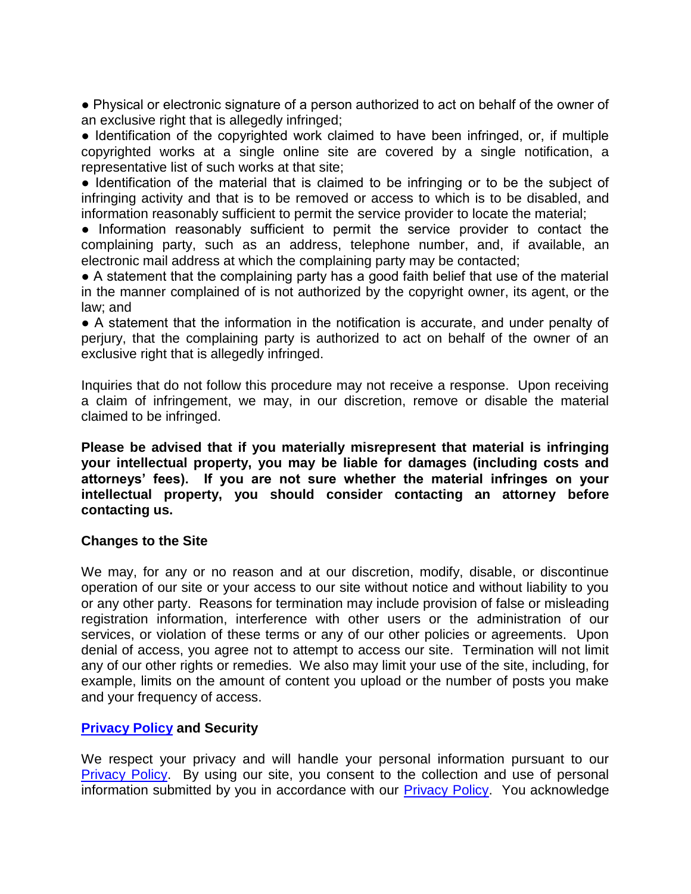● Physical or electronic signature of a person authorized to act on behalf of the owner of an exclusive right that is allegedly infringed;

• Identification of the copyrighted work claimed to have been infringed, or, if multiple copyrighted works at a single online site are covered by a single notification, a representative list of such works at that site;

● Identification of the material that is claimed to be infringing or to be the subject of infringing activity and that is to be removed or access to which is to be disabled, and information reasonably sufficient to permit the service provider to locate the material;

● Information reasonably sufficient to permit the service provider to contact the complaining party, such as an address, telephone number, and, if available, an electronic mail address at which the complaining party may be contacted;

• A statement that the complaining party has a good faith belief that use of the material in the manner complained of is not authorized by the copyright owner, its agent, or the law; and

● A statement that the information in the notification is accurate, and under penalty of perjury, that the complaining party is authorized to act on behalf of the owner of an exclusive right that is allegedly infringed.

Inquiries that do not follow this procedure may not receive a response. Upon receiving a claim of infringement, we may, in our discretion, remove or disable the material claimed to be infringed.

**Please be advised that if you materially misrepresent that material is infringing your intellectual property, you may be liable for damages (including costs and attorneys' fees). If you are not sure whether the material infringes on your intellectual property, you should consider contacting an attorney before contacting us.**

## **Changes to the Site**

We may, for any or no reason and at our discretion, modify, disable, or discontinue operation of our site or your access to our site without notice and without liability to you or any other party. Reasons for termination may include provision of false or misleading registration information, interference with other users or the administration of our services, or violation of these terms or any of our other policies or agreements. Upon denial of access, you agree not to attempt to access our site. Termination will not limit any of our other rights or remedies. We also may limit your use of the site, including, for example, limits on the amount of content you upload or the number of posts you make and your frequency of access.

# **[Privacy Policy](https://www.aeroflexusa.com/wp-content/uploads/2020/12/Aeroflex_Privacy_Policy_120920.pdf) and Security**

We respect your privacy and will handle your personal information pursuant to our **[Privacy Policy.](https://www.aeroflexusa.com/wp-content/uploads/2020/12/Aeroflex_Privacy_Policy_120920.pdf)** By using our site, you consent to the collection and use of personal information submitted by you in accordance with our [Privacy Policy.](https://www.aeroflexusa.com/wp-content/uploads/2020/12/Aeroflex_Privacy_Policy_120920.pdf) You acknowledge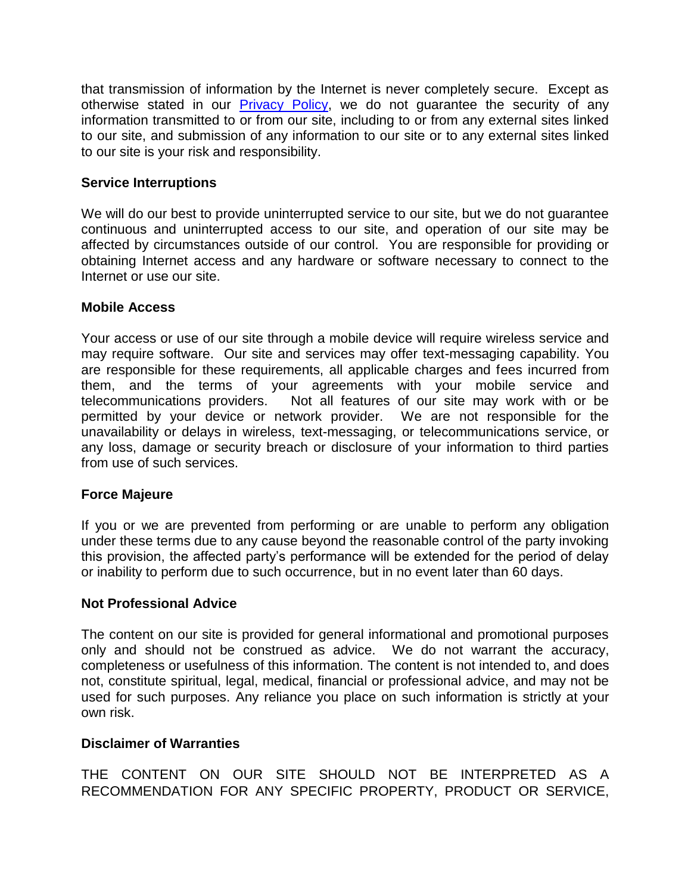that transmission of information by the Internet is never completely secure. Except as otherwise stated in our **Privacy Policy**, we do not guarantee the security of any information transmitted to or from our site, including to or from any external sites linked to our site, and submission of any information to our site or to any external sites linked to our site is your risk and responsibility.

# **Service Interruptions**

We will do our best to provide uninterrupted service to our site, but we do not guarantee continuous and uninterrupted access to our site, and operation of our site may be affected by circumstances outside of our control. You are responsible for providing or obtaining Internet access and any hardware or software necessary to connect to the Internet or use our site.

## **Mobile Access**

Your access or use of our site through a mobile device will require wireless service and may require software. Our site and services may offer text-messaging capability. You are responsible for these requirements, all applicable charges and fees incurred from them, and the terms of your agreements with your mobile service and telecommunications providers. Not all features of our site may work with or be permitted by your device or network provider. We are not responsible for the unavailability or delays in wireless, text-messaging, or telecommunications service, or any loss, damage or security breach or disclosure of your information to third parties from use of such services.

## **Force Majeure**

If you or we are prevented from performing or are unable to perform any obligation under these terms due to any cause beyond the reasonable control of the party invoking this provision, the affected party's performance will be extended for the period of delay or inability to perform due to such occurrence, but in no event later than 60 days.

## **Not Professional Advice**

The content on our site is provided for general informational and promotional purposes only and should not be construed as advice. We do not warrant the accuracy, completeness or usefulness of this information. The content is not intended to, and does not, constitute spiritual, legal, medical, financial or professional advice, and may not be used for such purposes. Any reliance you place on such information is strictly at your own risk.

# **Disclaimer of Warranties**

THE CONTENT ON OUR SITE SHOULD NOT BE INTERPRETED AS A RECOMMENDATION FOR ANY SPECIFIC PROPERTY, PRODUCT OR SERVICE,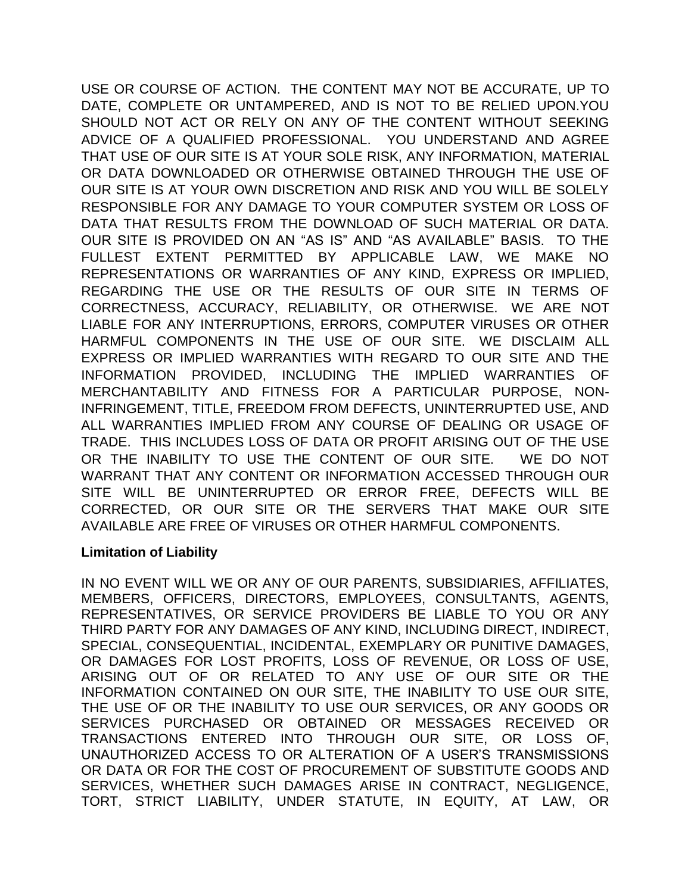USE OR COURSE OF ACTION. THE CONTENT MAY NOT BE ACCURATE, UP TO DATE, COMPLETE OR UNTAMPERED, AND IS NOT TO BE RELIED UPON.YOU SHOULD NOT ACT OR RELY ON ANY OF THE CONTENT WITHOUT SEEKING ADVICE OF A QUALIFIED PROFESSIONAL. YOU UNDERSTAND AND AGREE THAT USE OF OUR SITE IS AT YOUR SOLE RISK, ANY INFORMATION, MATERIAL OR DATA DOWNLOADED OR OTHERWISE OBTAINED THROUGH THE USE OF OUR SITE IS AT YOUR OWN DISCRETION AND RISK AND YOU WILL BE SOLELY RESPONSIBLE FOR ANY DAMAGE TO YOUR COMPUTER SYSTEM OR LOSS OF DATA THAT RESULTS FROM THE DOWNLOAD OF SUCH MATERIAL OR DATA. OUR SITE IS PROVIDED ON AN "AS IS" AND "AS AVAILABLE" BASIS. TO THE FULLEST EXTENT PERMITTED BY APPLICABLE LAW, WE MAKE NO REPRESENTATIONS OR WARRANTIES OF ANY KIND, EXPRESS OR IMPLIED, REGARDING THE USE OR THE RESULTS OF OUR SITE IN TERMS OF CORRECTNESS, ACCURACY, RELIABILITY, OR OTHERWISE. WE ARE NOT LIABLE FOR ANY INTERRUPTIONS, ERRORS, COMPUTER VIRUSES OR OTHER HARMFUL COMPONENTS IN THE USE OF OUR SITE. WE DISCLAIM ALL EXPRESS OR IMPLIED WARRANTIES WITH REGARD TO OUR SITE AND THE INFORMATION PROVIDED, INCLUDING THE IMPLIED WARRANTIES OF MERCHANTABILITY AND FITNESS FOR A PARTICULAR PURPOSE, NON-INFRINGEMENT, TITLE, FREEDOM FROM DEFECTS, UNINTERRUPTED USE, AND ALL WARRANTIES IMPLIED FROM ANY COURSE OF DEALING OR USAGE OF TRADE. THIS INCLUDES LOSS OF DATA OR PROFIT ARISING OUT OF THE USE OR THE INABILITY TO USE THE CONTENT OF OUR SITE. WE DO NOT WARRANT THAT ANY CONTENT OR INFORMATION ACCESSED THROUGH OUR SITE WILL BE UNINTERRUPTED OR ERROR FREE, DEFECTS WILL BE CORRECTED, OR OUR SITE OR THE SERVERS THAT MAKE OUR SITE AVAILABLE ARE FREE OF VIRUSES OR OTHER HARMFUL COMPONENTS.

## **Limitation of Liability**

IN NO EVENT WILL WE OR ANY OF OUR PARENTS, SUBSIDIARIES, AFFILIATES, MEMBERS, OFFICERS, DIRECTORS, EMPLOYEES, CONSULTANTS, AGENTS, REPRESENTATIVES, OR SERVICE PROVIDERS BE LIABLE TO YOU OR ANY THIRD PARTY FOR ANY DAMAGES OF ANY KIND, INCLUDING DIRECT, INDIRECT, SPECIAL, CONSEQUENTIAL, INCIDENTAL, EXEMPLARY OR PUNITIVE DAMAGES, OR DAMAGES FOR LOST PROFITS, LOSS OF REVENUE, OR LOSS OF USE, ARISING OUT OF OR RELATED TO ANY USE OF OUR SITE OR THE INFORMATION CONTAINED ON OUR SITE, THE INABILITY TO USE OUR SITE, THE USE OF OR THE INABILITY TO USE OUR SERVICES, OR ANY GOODS OR SERVICES PURCHASED OR OBTAINED OR MESSAGES RECEIVED OR TRANSACTIONS ENTERED INTO THROUGH OUR SITE, OR LOSS OF, UNAUTHORIZED ACCESS TO OR ALTERATION OF A USER'S TRANSMISSIONS OR DATA OR FOR THE COST OF PROCUREMENT OF SUBSTITUTE GOODS AND SERVICES, WHETHER SUCH DAMAGES ARISE IN CONTRACT, NEGLIGENCE, TORT, STRICT LIABILITY, UNDER STATUTE, IN EQUITY, AT LAW, OR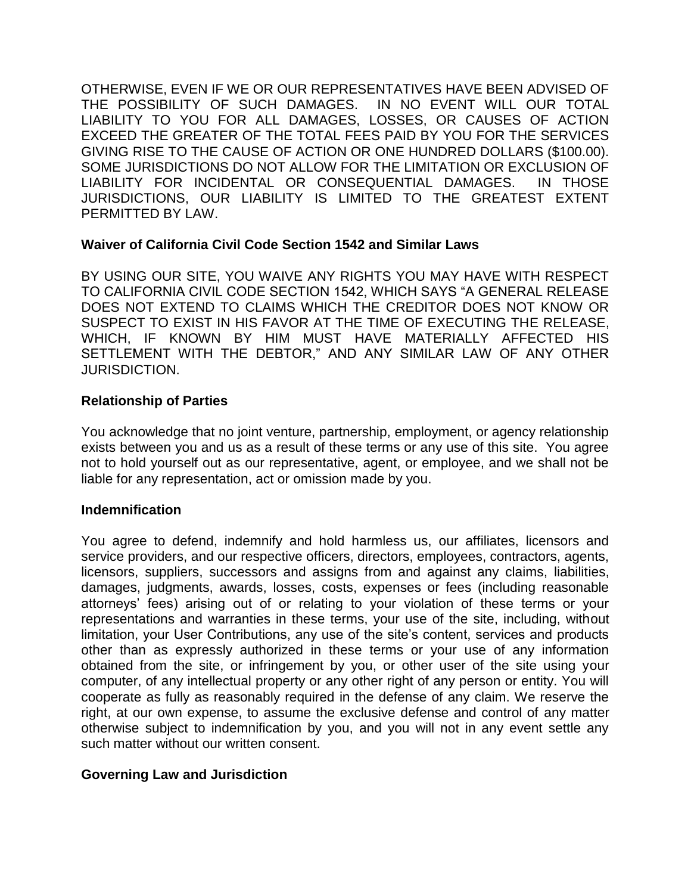OTHERWISE, EVEN IF WE OR OUR REPRESENTATIVES HAVE BEEN ADVISED OF THE POSSIBILITY OF SUCH DAMAGES. IN NO EVENT WILL OUR TOTAL LIABILITY TO YOU FOR ALL DAMAGES, LOSSES, OR CAUSES OF ACTION EXCEED THE GREATER OF THE TOTAL FEES PAID BY YOU FOR THE SERVICES GIVING RISE TO THE CAUSE OF ACTION OR ONE HUNDRED DOLLARS (\$100.00). SOME JURISDICTIONS DO NOT ALLOW FOR THE LIMITATION OR EXCLUSION OF LIABILITY FOR INCIDENTAL OR CONSEQUENTIAL DAMAGES. IN THOSE JURISDICTIONS, OUR LIABILITY IS LIMITED TO THE GREATEST EXTENT PERMITTED BY LAW.

# **Waiver of California Civil Code Section 1542 and Similar Laws**

BY USING OUR SITE, YOU WAIVE ANY RIGHTS YOU MAY HAVE WITH RESPECT TO CALIFORNIA CIVIL CODE SECTION 1542, WHICH SAYS "A GENERAL RELEASE DOES NOT EXTEND TO CLAIMS WHICH THE CREDITOR DOES NOT KNOW OR SUSPECT TO EXIST IN HIS FAVOR AT THE TIME OF EXECUTING THE RELEASE, WHICH, IF KNOWN BY HIM MUST HAVE MATERIALLY AFFECTED HIS SETTLEMENT WITH THE DEBTOR," AND ANY SIMILAR LAW OF ANY OTHER JURISDICTION.

# **Relationship of Parties**

You acknowledge that no joint venture, partnership, employment, or agency relationship exists between you and us as a result of these terms or any use of this site. You agree not to hold yourself out as our representative, agent, or employee, and we shall not be liable for any representation, act or omission made by you.

## **Indemnification**

You agree to defend, indemnify and hold harmless us, our affiliates, licensors and service providers, and our respective officers, directors, employees, contractors, agents, licensors, suppliers, successors and assigns from and against any claims, liabilities, damages, judgments, awards, losses, costs, expenses or fees (including reasonable attorneys' fees) arising out of or relating to your violation of these terms or your representations and warranties in these terms, your use of the site, including, without limitation, your User Contributions, any use of the site's content, services and products other than as expressly authorized in these terms or your use of any information obtained from the site, or infringement by you, or other user of the site using your computer, of any intellectual property or any other right of any person or entity. You will cooperate as fully as reasonably required in the defense of any claim. We reserve the right, at our own expense, to assume the exclusive defense and control of any matter otherwise subject to indemnification by you, and you will not in any event settle any such matter without our written consent.

# **Governing Law and Jurisdiction**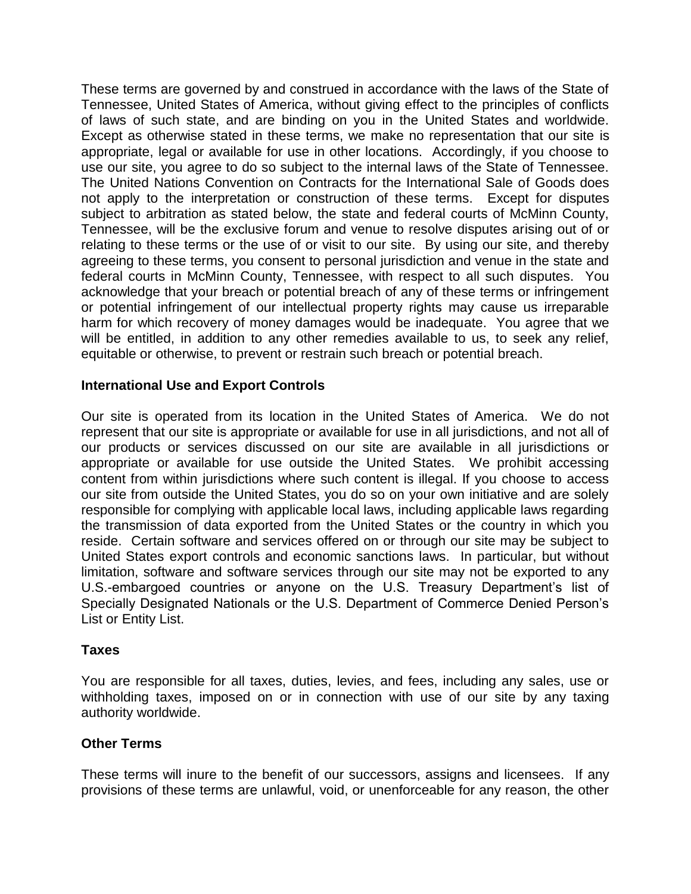These terms are governed by and construed in accordance with the laws of the State of Tennessee, United States of America, without giving effect to the principles of conflicts of laws of such state, and are binding on you in the United States and worldwide. Except as otherwise stated in these terms, we make no representation that our site is appropriate, legal or available for use in other locations. Accordingly, if you choose to use our site, you agree to do so subject to the internal laws of the State of Tennessee. The United Nations Convention on Contracts for the International Sale of Goods does not apply to the interpretation or construction of these terms. Except for disputes subject to arbitration as stated below, the state and federal courts of McMinn County, Tennessee, will be the exclusive forum and venue to resolve disputes arising out of or relating to these terms or the use of or visit to our site. By using our site, and thereby agreeing to these terms, you consent to personal jurisdiction and venue in the state and federal courts in McMinn County, Tennessee, with respect to all such disputes. You acknowledge that your breach or potential breach of any of these terms or infringement or potential infringement of our intellectual property rights may cause us irreparable harm for which recovery of money damages would be inadequate. You agree that we will be entitled, in addition to any other remedies available to us, to seek any relief, equitable or otherwise, to prevent or restrain such breach or potential breach.

# **International Use and Export Controls**

Our site is operated from its location in the United States of America. We do not represent that our site is appropriate or available for use in all jurisdictions, and not all of our products or services discussed on our site are available in all jurisdictions or appropriate or available for use outside the United States. We prohibit accessing content from within jurisdictions where such content is illegal. If you choose to access our site from outside the United States, you do so on your own initiative and are solely responsible for complying with applicable local laws, including applicable laws regarding the transmission of data exported from the United States or the country in which you reside. Certain software and services offered on or through our site may be subject to United States export controls and economic sanctions laws. In particular, but without limitation, software and software services through our site may not be exported to any U.S.-embargoed countries or anyone on the U.S. Treasury Department's list of Specially Designated Nationals or the U.S. Department of Commerce Denied Person's List or Entity List.

## **Taxes**

You are responsible for all taxes, duties, levies, and fees, including any sales, use or withholding taxes, imposed on or in connection with use of our site by any taxing authority worldwide.

## **Other Terms**

These terms will inure to the benefit of our successors, assigns and licensees. If any provisions of these terms are unlawful, void, or unenforceable for any reason, the other